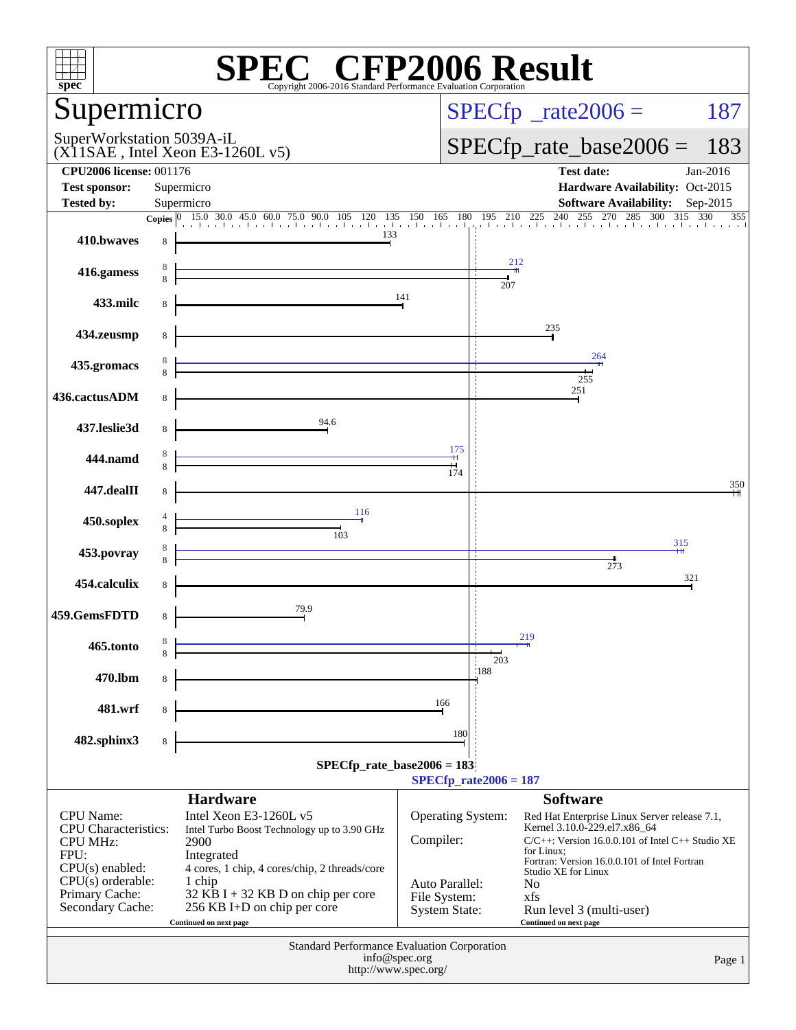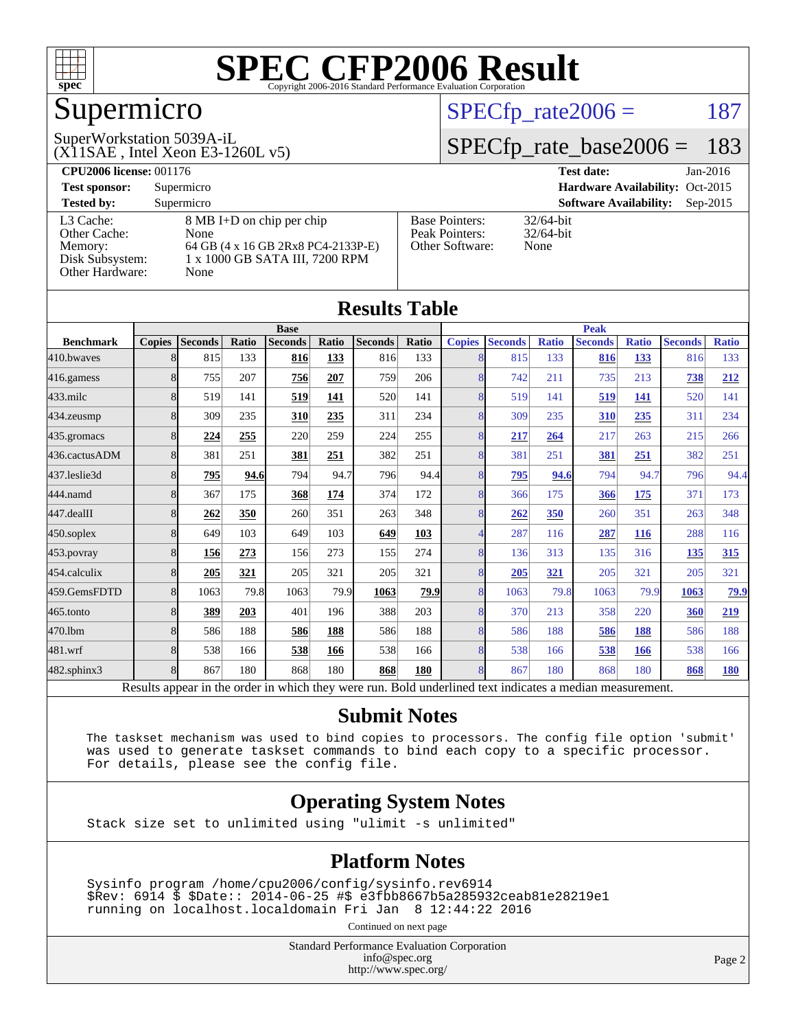

## Supermicro

#### $SPECTp_rate2006 = 187$

(X11SAE , Intel Xeon E3-1260L v5) SuperWorkstation 5039A-iL

[SPECfp\\_rate\\_base2006 =](http://www.spec.org/auto/cpu2006/Docs/result-fields.html#SPECfpratebase2006) 183

| <b>CPU2006 license: 001176</b> |                                    |                       | <b>Test date:</b><br>$Jan-2016$             |  |
|--------------------------------|------------------------------------|-----------------------|---------------------------------------------|--|
| <b>Test sponsor:</b>           | Supermicro                         |                       | Hardware Availability: Oct-2015             |  |
| <b>Tested by:</b>              | Supermicro                         |                       | <b>Software Availability:</b><br>$Sep-2015$ |  |
| L3 Cache:                      | 8 MB I+D on chip per chip          | <b>Base Pointers:</b> | $32/64$ -bit                                |  |
| Other Cache:                   | None                               | Peak Pointers:        | $32/64$ -bit                                |  |
| Memory:                        | 64 GB (4 x 16 GB 2Rx8 PC4-2133P-E) | Other Software:       | None                                        |  |
| Disk Subsystem:                | 1 x 1000 GB SATA III, 7200 RPM     |                       |                                             |  |
| Other Hardware:                | None                               |                       |                                             |  |

**[Results Table](http://www.spec.org/auto/cpu2006/Docs/result-fields.html#ResultsTable)**

| Results Tadie    |               |                |                                 |                     |       |                |       |                |                                             |              |                |                                             |                |              |
|------------------|---------------|----------------|---------------------------------|---------------------|-------|----------------|-------|----------------|---------------------------------------------|--------------|----------------|---------------------------------------------|----------------|--------------|
|                  | <b>Base</b>   |                |                                 |                     |       |                |       | <b>Peak</b>    |                                             |              |                |                                             |                |              |
| <b>Benchmark</b> | <b>Copies</b> | <b>Seconds</b> | Ratio                           | <b>Seconds</b>      | Ratio | <b>Seconds</b> | Ratio | <b>Copies</b>  | <b>Seconds</b>                              | <b>Ratio</b> | <b>Seconds</b> | <b>Ratio</b>                                | <b>Seconds</b> | <b>Ratio</b> |
| 410.bwayes       | 8             | 815            | 133                             | 816                 | 133   | 816            | 133   | 8              | 815                                         | 133          | 816            | 133                                         | 816            | 133          |
| 416.gamess       | 8             | 755            | 207                             | 756                 | 207   | 759            | 206   | 8              | 742                                         | 211          | 735            | 213                                         | 738            | 212          |
| 433.milc         | 8             | 519            | 141                             | 519                 | 141   | 520            | 141   | 8              | 519                                         | 141          | 519            | 141                                         | 520            | 141          |
| 434.zeusmp       | 8             | 309            | 235                             | 310                 | 235   | 311            | 234   | 8              | 309                                         | 235          | 310            | 235                                         | 311            | 234          |
| 435 gromacs      | 8             | 224            | 255                             | 220                 | 259   | 224            | 255   | 8              | 217                                         | 264          | 217            | 263                                         | 215            | 266          |
| 436.cactusADM    | 8             | 381            | 251                             | 381                 | 251   | 382            | 251   | 8              | 381                                         | 251          | 381            | 251                                         | 382            | 251          |
| 437.leslie3d     | 8             | 795            | 94.6                            | 794                 | 94.7  | 796            | 94.4  | 8 <sup>1</sup> | <u>795</u>                                  | 94.6         | 794            | 94.7                                        | 796            | 94.4         |
| 444.namd         | 8             | 367            | 175                             | 368                 | 174   | 374            | 172   | 8              | 366                                         | 175          | 366            | 175                                         | 371            | 173          |
| 447.dealII       | 8             | 262            | 350                             | 260                 | 351   | 263            | 348   | 8              | 262                                         | 350          | 260            | 351                                         | 263            | 348          |
| $450$ .soplex    | 8             | 649            | 103                             | 649                 | 103   | 649            | 103   |                | 287                                         | 116          | 287            | 116                                         | 288            | 116          |
| $453$ .povray    | 8             | 156            | 273                             | 156                 | 273   | 155            | 274   | 8              | 136                                         | 313          | 135            | 316                                         | 135            | 315          |
| 454.calculix     | 8             | 205            | 321                             | 205                 | 321   | 205            | 321   | 8              | 205                                         | 321          | 205            | 321                                         | 205            | 321          |
| 459.GemsFDTD     | 8             | 1063           | 79.8                            | 1063                | 79.9  | 1063           | 79.9  | 8              | 1063                                        | 79.8         | 1063           | 79.9                                        | 1063           | 79.9         |
| 465.tonto        |               | 389            | 203                             | 401                 | 196   | 388            | 203   | 8              | 370                                         | 213          | 358            | 220                                         | 360            | 219          |
| 470.1bm          | 8             | 586            | 188                             | 586                 | 188   | 586            | 188   | 8              | 586                                         | 188          | 586            | 188                                         | 586            | 188          |
| 481.wrf          | 8             | 538            | 166                             | 538                 | 166   | 538            | 166   | 8              | 538                                         | 166          | 538            | 166                                         | 538            | 166          |
| 482.sphinx3      | 8             | 867            | 180                             | 868                 | 180   | 868            | 180   | 8              | 867                                         | 180          | 868            | 180                                         | 868            | <u>180</u>   |
|                  | $D = 14$      | -------        | المتكاسم المساما المسائلات لتنك | بدائه المائد فالمست |       |                |       |                | Deld and collect term in the steep a median |              |                | the secret of the property of the secret of |                |              |

Results appear in the [order in which they were run.](http://www.spec.org/auto/cpu2006/Docs/result-fields.html#RunOrder) Bold underlined text [indicates a median measurement.](http://www.spec.org/auto/cpu2006/Docs/result-fields.html#Median)

#### **[Submit Notes](http://www.spec.org/auto/cpu2006/Docs/result-fields.html#SubmitNotes)**

 The taskset mechanism was used to bind copies to processors. The config file option 'submit' was used to generate taskset commands to bind each copy to a specific processor. For details, please see the config file.

#### **[Operating System Notes](http://www.spec.org/auto/cpu2006/Docs/result-fields.html#OperatingSystemNotes)**

Stack size set to unlimited using "ulimit -s unlimited"

#### **[Platform Notes](http://www.spec.org/auto/cpu2006/Docs/result-fields.html#PlatformNotes)**

 Sysinfo program /home/cpu2006/config/sysinfo.rev6914 \$Rev: 6914 \$ \$Date:: 2014-06-25 #\$ e3fbb8667b5a285932ceab81e28219e1 running on localhost.localdomain Fri Jan 8 12:44:22 2016

Continued on next page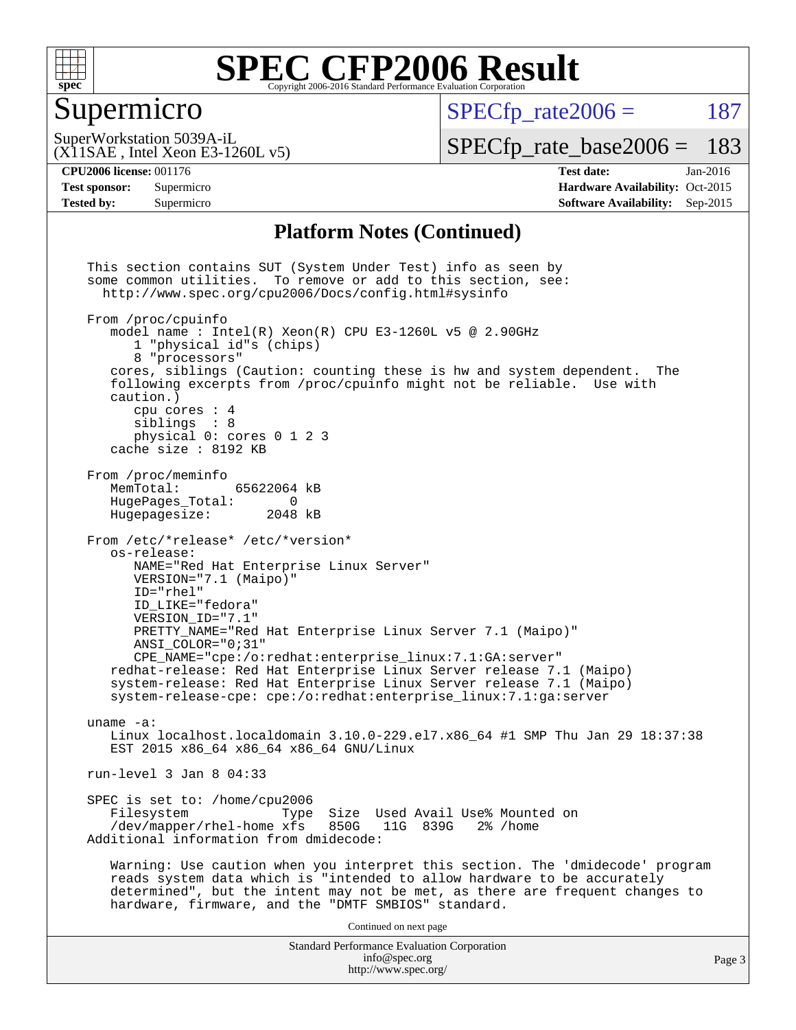

#### Supermicro

 $SPECTp\_rate2006 = 187$ 

(X11SAE , Intel Xeon E3-1260L v5) SuperWorkstation 5039A-iL

[SPECfp\\_rate\\_base2006 =](http://www.spec.org/auto/cpu2006/Docs/result-fields.html#SPECfpratebase2006) 183

**[CPU2006 license:](http://www.spec.org/auto/cpu2006/Docs/result-fields.html#CPU2006license)** 001176 **[Test date:](http://www.spec.org/auto/cpu2006/Docs/result-fields.html#Testdate)** Jan-2016 **[Test sponsor:](http://www.spec.org/auto/cpu2006/Docs/result-fields.html#Testsponsor)** Supermicro Supermicro **[Hardware Availability:](http://www.spec.org/auto/cpu2006/Docs/result-fields.html#HardwareAvailability)** Oct-2015 **[Tested by:](http://www.spec.org/auto/cpu2006/Docs/result-fields.html#Testedby)** Supermicro **Supermicro [Software Availability:](http://www.spec.org/auto/cpu2006/Docs/result-fields.html#SoftwareAvailability)** Sep-2015

#### **[Platform Notes \(Continued\)](http://www.spec.org/auto/cpu2006/Docs/result-fields.html#PlatformNotes)**

Standard Performance Evaluation Corporation [info@spec.org](mailto:info@spec.org) <http://www.spec.org/> This section contains SUT (System Under Test) info as seen by some common utilities. To remove or add to this section, see: <http://www.spec.org/cpu2006/Docs/config.html#sysinfo> From /proc/cpuinfo model name : Intel(R) Xeon(R) CPU E3-1260L v5 @ 2.90GHz 1 "physical id"s (chips) 8 "processors" cores, siblings (Caution: counting these is hw and system dependent. The following excerpts from /proc/cpuinfo might not be reliable. Use with caution.) cpu cores : 4 siblings : 8 physical 0: cores 0 1 2 3 cache size : 8192 KB From /proc/meminfo MemTotal: 65622064 kB<br>HugePages Total: 0 HugePages\_Total: 0<br>Hugepagesize: 2048 kB Hugepagesize: From /etc/\*release\* /etc/\*version\* os-release: NAME="Red Hat Enterprise Linux Server" VERSION="7.1 (Maipo)" ID="rhel" ID\_LIKE="fedora" VERSION\_ID="7.1" PRETTY\_NAME="Red Hat Enterprise Linux Server 7.1 (Maipo)" ANSI\_COLOR="0;31" CPE\_NAME="cpe:/o:redhat:enterprise\_linux:7.1:GA:server" redhat-release: Red Hat Enterprise Linux Server release 7.1 (Maipo) system-release: Red Hat Enterprise Linux Server release 7.1 (Maipo) system-release-cpe: cpe:/o:redhat:enterprise\_linux:7.1:ga:server uname -a: Linux localhost.localdomain 3.10.0-229.el7.x86\_64 #1 SMP Thu Jan 29 18:37:38 EST 2015 x86\_64 x86\_64 x86\_64 GNU/Linux run-level 3 Jan 8 04:33 SPEC is set to: /home/cpu2006<br>Filesystem Type Type Size Used Avail Use% Mounted on<br>xfs 850G 11G 839G 2% /home /dev/mapper/rhel-home xfs 850G Additional information from dmidecode: Warning: Use caution when you interpret this section. The 'dmidecode' program reads system data which is "intended to allow hardware to be accurately determined", but the intent may not be met, as there are frequent changes to hardware, firmware, and the "DMTF SMBIOS" standard. Continued on next page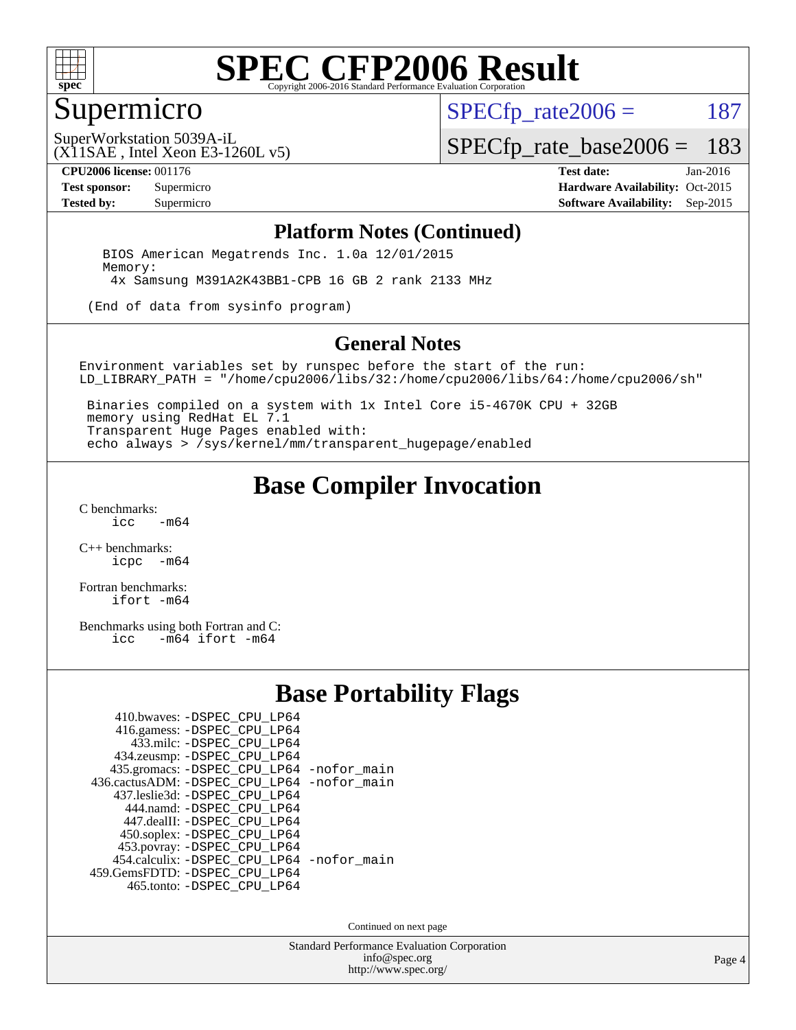

#### Supermicro

 $SPECTp\_rate2006 = 187$ 

(X11SAE , Intel Xeon E3-1260L v5) SuperWorkstation 5039A-iL

[SPECfp\\_rate\\_base2006 =](http://www.spec.org/auto/cpu2006/Docs/result-fields.html#SPECfpratebase2006) 183

**[CPU2006 license:](http://www.spec.org/auto/cpu2006/Docs/result-fields.html#CPU2006license)** 001176 **[Test date:](http://www.spec.org/auto/cpu2006/Docs/result-fields.html#Testdate)** Jan-2016 **[Test sponsor:](http://www.spec.org/auto/cpu2006/Docs/result-fields.html#Testsponsor)** Supermicro Supermicro **[Hardware Availability:](http://www.spec.org/auto/cpu2006/Docs/result-fields.html#HardwareAvailability)** Oct-2015 **[Tested by:](http://www.spec.org/auto/cpu2006/Docs/result-fields.html#Testedby)** Supermicro **Supermicro [Software Availability:](http://www.spec.org/auto/cpu2006/Docs/result-fields.html#SoftwareAvailability)** Sep-2015

#### **[Platform Notes \(Continued\)](http://www.spec.org/auto/cpu2006/Docs/result-fields.html#PlatformNotes)**

 BIOS American Megatrends Inc. 1.0a 12/01/2015 Memory: 4x Samsung M391A2K43BB1-CPB 16 GB 2 rank 2133 MHz

(End of data from sysinfo program)

#### **[General Notes](http://www.spec.org/auto/cpu2006/Docs/result-fields.html#GeneralNotes)**

Environment variables set by runspec before the start of the run: LD\_LIBRARY\_PATH = "/home/cpu2006/libs/32:/home/cpu2006/libs/64:/home/cpu2006/sh"

 Binaries compiled on a system with 1x Intel Core i5-4670K CPU + 32GB memory using RedHat EL 7.1 Transparent Huge Pages enabled with: echo always > /sys/kernel/mm/transparent\_hugepage/enabled

#### **[Base Compiler Invocation](http://www.spec.org/auto/cpu2006/Docs/result-fields.html#BaseCompilerInvocation)**

[C benchmarks](http://www.spec.org/auto/cpu2006/Docs/result-fields.html#Cbenchmarks):  $-m64$ 

[C++ benchmarks:](http://www.spec.org/auto/cpu2006/Docs/result-fields.html#CXXbenchmarks) [icpc -m64](http://www.spec.org/cpu2006/results/res2016q1/cpu2006-20160120-38755.flags.html#user_CXXbase_intel_icpc_64bit_bedb90c1146cab66620883ef4f41a67e)

[Fortran benchmarks](http://www.spec.org/auto/cpu2006/Docs/result-fields.html#Fortranbenchmarks): [ifort -m64](http://www.spec.org/cpu2006/results/res2016q1/cpu2006-20160120-38755.flags.html#user_FCbase_intel_ifort_64bit_ee9d0fb25645d0210d97eb0527dcc06e)

[Benchmarks using both Fortran and C](http://www.spec.org/auto/cpu2006/Docs/result-fields.html#BenchmarksusingbothFortranandC):<br>icc -m64 ifort -m64  $-m64$  ifort  $-m64$ 

#### **[Base Portability Flags](http://www.spec.org/auto/cpu2006/Docs/result-fields.html#BasePortabilityFlags)**

| 410.bwaves: -DSPEC CPU LP64                 |  |
|---------------------------------------------|--|
| 416.gamess: -DSPEC_CPU_LP64                 |  |
| 433.milc: -DSPEC CPU LP64                   |  |
| 434.zeusmp: -DSPEC_CPU_LP64                 |  |
| 435.gromacs: -DSPEC_CPU_LP64 -nofor_main    |  |
| 436.cactusADM: -DSPEC CPU LP64 -nofor main  |  |
| 437.leslie3d: -DSPEC CPU LP64               |  |
| 444.namd: -DSPEC CPU LP64                   |  |
| 447.dealII: -DSPEC_CPU_LP64                 |  |
| 450.soplex: -DSPEC_CPU_LP64                 |  |
| 453.povray: -DSPEC_CPU_LP64                 |  |
| 454.calculix: - DSPEC CPU LP64 - nofor main |  |
| 459. GemsFDTD: - DSPEC CPU LP64             |  |
| 465.tonto: -DSPEC_CPU_LP64                  |  |

Continued on next page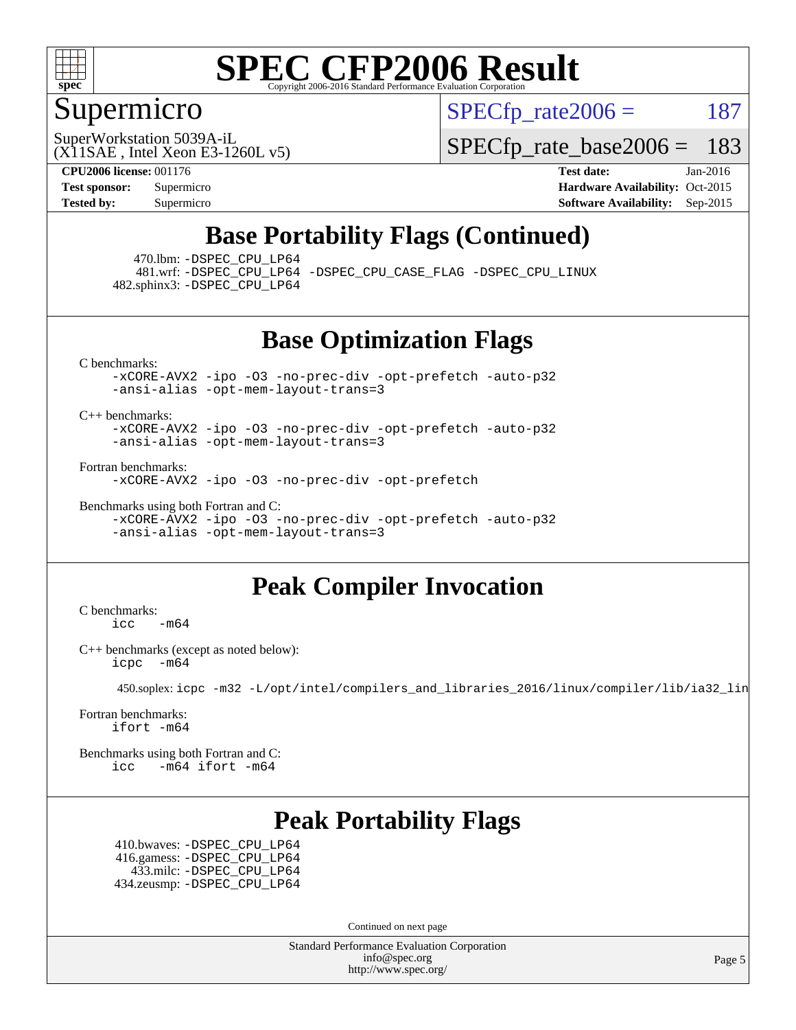

#### Supermicro

 $SPECTp\_rate2006 = 187$ 

(X11SAE , Intel Xeon E3-1260L v5) SuperWorkstation 5039A-iL

[SPECfp\\_rate\\_base2006 =](http://www.spec.org/auto/cpu2006/Docs/result-fields.html#SPECfpratebase2006) 183

**[CPU2006 license:](http://www.spec.org/auto/cpu2006/Docs/result-fields.html#CPU2006license)** 001176 **[Test date:](http://www.spec.org/auto/cpu2006/Docs/result-fields.html#Testdate)** Jan-2016 **[Test sponsor:](http://www.spec.org/auto/cpu2006/Docs/result-fields.html#Testsponsor)** Supermicro Supermicro **[Hardware Availability:](http://www.spec.org/auto/cpu2006/Docs/result-fields.html#HardwareAvailability)** Oct-2015 **[Tested by:](http://www.spec.org/auto/cpu2006/Docs/result-fields.html#Testedby)** Supermicro **Supermicro [Software Availability:](http://www.spec.org/auto/cpu2006/Docs/result-fields.html#SoftwareAvailability)** Sep-2015

### **[Base Portability Flags \(Continued\)](http://www.spec.org/auto/cpu2006/Docs/result-fields.html#BasePortabilityFlags)**

470.lbm: [-DSPEC\\_CPU\\_LP64](http://www.spec.org/cpu2006/results/res2016q1/cpu2006-20160120-38755.flags.html#suite_basePORTABILITY470_lbm_DSPEC_CPU_LP64)

 481.wrf: [-DSPEC\\_CPU\\_LP64](http://www.spec.org/cpu2006/results/res2016q1/cpu2006-20160120-38755.flags.html#suite_basePORTABILITY481_wrf_DSPEC_CPU_LP64) [-DSPEC\\_CPU\\_CASE\\_FLAG](http://www.spec.org/cpu2006/results/res2016q1/cpu2006-20160120-38755.flags.html#b481.wrf_baseCPORTABILITY_DSPEC_CPU_CASE_FLAG) [-DSPEC\\_CPU\\_LINUX](http://www.spec.org/cpu2006/results/res2016q1/cpu2006-20160120-38755.flags.html#b481.wrf_baseCPORTABILITY_DSPEC_CPU_LINUX) 482.sphinx3: [-DSPEC\\_CPU\\_LP64](http://www.spec.org/cpu2006/results/res2016q1/cpu2006-20160120-38755.flags.html#suite_basePORTABILITY482_sphinx3_DSPEC_CPU_LP64)

#### **[Base Optimization Flags](http://www.spec.org/auto/cpu2006/Docs/result-fields.html#BaseOptimizationFlags)**

[C benchmarks](http://www.spec.org/auto/cpu2006/Docs/result-fields.html#Cbenchmarks):

[-xCORE-AVX2](http://www.spec.org/cpu2006/results/res2016q1/cpu2006-20160120-38755.flags.html#user_CCbase_f-xAVX2_5f5fc0cbe2c9f62c816d3e45806c70d7) [-ipo](http://www.spec.org/cpu2006/results/res2016q1/cpu2006-20160120-38755.flags.html#user_CCbase_f-ipo) [-O3](http://www.spec.org/cpu2006/results/res2016q1/cpu2006-20160120-38755.flags.html#user_CCbase_f-O3) [-no-prec-div](http://www.spec.org/cpu2006/results/res2016q1/cpu2006-20160120-38755.flags.html#user_CCbase_f-no-prec-div) [-opt-prefetch](http://www.spec.org/cpu2006/results/res2016q1/cpu2006-20160120-38755.flags.html#user_CCbase_f-opt-prefetch) [-auto-p32](http://www.spec.org/cpu2006/results/res2016q1/cpu2006-20160120-38755.flags.html#user_CCbase_f-auto-p32) [-ansi-alias](http://www.spec.org/cpu2006/results/res2016q1/cpu2006-20160120-38755.flags.html#user_CCbase_f-ansi-alias) [-opt-mem-layout-trans=3](http://www.spec.org/cpu2006/results/res2016q1/cpu2006-20160120-38755.flags.html#user_CCbase_f-opt-mem-layout-trans_a7b82ad4bd7abf52556d4961a2ae94d5)

[C++ benchmarks:](http://www.spec.org/auto/cpu2006/Docs/result-fields.html#CXXbenchmarks)

[-xCORE-AVX2](http://www.spec.org/cpu2006/results/res2016q1/cpu2006-20160120-38755.flags.html#user_CXXbase_f-xAVX2_5f5fc0cbe2c9f62c816d3e45806c70d7) [-ipo](http://www.spec.org/cpu2006/results/res2016q1/cpu2006-20160120-38755.flags.html#user_CXXbase_f-ipo) [-O3](http://www.spec.org/cpu2006/results/res2016q1/cpu2006-20160120-38755.flags.html#user_CXXbase_f-O3) [-no-prec-div](http://www.spec.org/cpu2006/results/res2016q1/cpu2006-20160120-38755.flags.html#user_CXXbase_f-no-prec-div) [-opt-prefetch](http://www.spec.org/cpu2006/results/res2016q1/cpu2006-20160120-38755.flags.html#user_CXXbase_f-opt-prefetch) [-auto-p32](http://www.spec.org/cpu2006/results/res2016q1/cpu2006-20160120-38755.flags.html#user_CXXbase_f-auto-p32) [-ansi-alias](http://www.spec.org/cpu2006/results/res2016q1/cpu2006-20160120-38755.flags.html#user_CXXbase_f-ansi-alias) [-opt-mem-layout-trans=3](http://www.spec.org/cpu2006/results/res2016q1/cpu2006-20160120-38755.flags.html#user_CXXbase_f-opt-mem-layout-trans_a7b82ad4bd7abf52556d4961a2ae94d5)

[Fortran benchmarks](http://www.spec.org/auto/cpu2006/Docs/result-fields.html#Fortranbenchmarks):

[-xCORE-AVX2](http://www.spec.org/cpu2006/results/res2016q1/cpu2006-20160120-38755.flags.html#user_FCbase_f-xAVX2_5f5fc0cbe2c9f62c816d3e45806c70d7) [-ipo](http://www.spec.org/cpu2006/results/res2016q1/cpu2006-20160120-38755.flags.html#user_FCbase_f-ipo) [-O3](http://www.spec.org/cpu2006/results/res2016q1/cpu2006-20160120-38755.flags.html#user_FCbase_f-O3) [-no-prec-div](http://www.spec.org/cpu2006/results/res2016q1/cpu2006-20160120-38755.flags.html#user_FCbase_f-no-prec-div) [-opt-prefetch](http://www.spec.org/cpu2006/results/res2016q1/cpu2006-20160120-38755.flags.html#user_FCbase_f-opt-prefetch)

[Benchmarks using both Fortran and C](http://www.spec.org/auto/cpu2006/Docs/result-fields.html#BenchmarksusingbothFortranandC): [-xCORE-AVX2](http://www.spec.org/cpu2006/results/res2016q1/cpu2006-20160120-38755.flags.html#user_CC_FCbase_f-xAVX2_5f5fc0cbe2c9f62c816d3e45806c70d7) [-ipo](http://www.spec.org/cpu2006/results/res2016q1/cpu2006-20160120-38755.flags.html#user_CC_FCbase_f-ipo) [-O3](http://www.spec.org/cpu2006/results/res2016q1/cpu2006-20160120-38755.flags.html#user_CC_FCbase_f-O3) [-no-prec-div](http://www.spec.org/cpu2006/results/res2016q1/cpu2006-20160120-38755.flags.html#user_CC_FCbase_f-no-prec-div) [-opt-prefetch](http://www.spec.org/cpu2006/results/res2016q1/cpu2006-20160120-38755.flags.html#user_CC_FCbase_f-opt-prefetch) [-auto-p32](http://www.spec.org/cpu2006/results/res2016q1/cpu2006-20160120-38755.flags.html#user_CC_FCbase_f-auto-p32) [-ansi-alias](http://www.spec.org/cpu2006/results/res2016q1/cpu2006-20160120-38755.flags.html#user_CC_FCbase_f-ansi-alias) [-opt-mem-layout-trans=3](http://www.spec.org/cpu2006/results/res2016q1/cpu2006-20160120-38755.flags.html#user_CC_FCbase_f-opt-mem-layout-trans_a7b82ad4bd7abf52556d4961a2ae94d5)

### **[Peak Compiler Invocation](http://www.spec.org/auto/cpu2006/Docs/result-fields.html#PeakCompilerInvocation)**

[C benchmarks](http://www.spec.org/auto/cpu2006/Docs/result-fields.html#Cbenchmarks):  $\text{icc}$  -m64

[C++ benchmarks \(except as noted below\):](http://www.spec.org/auto/cpu2006/Docs/result-fields.html#CXXbenchmarksexceptasnotedbelow) [icpc -m64](http://www.spec.org/cpu2006/results/res2016q1/cpu2006-20160120-38755.flags.html#user_CXXpeak_intel_icpc_64bit_bedb90c1146cab66620883ef4f41a67e)

450.soplex: [icpc -m32 -L/opt/intel/compilers\\_and\\_libraries\\_2016/linux/compiler/lib/ia32\\_lin](http://www.spec.org/cpu2006/results/res2016q1/cpu2006-20160120-38755.flags.html#user_peakCXXLD450_soplex_intel_icpc_b4f50a394bdb4597aa5879c16bc3f5c5)

[Fortran benchmarks](http://www.spec.org/auto/cpu2006/Docs/result-fields.html#Fortranbenchmarks): [ifort -m64](http://www.spec.org/cpu2006/results/res2016q1/cpu2006-20160120-38755.flags.html#user_FCpeak_intel_ifort_64bit_ee9d0fb25645d0210d97eb0527dcc06e)

[Benchmarks using both Fortran and C](http://www.spec.org/auto/cpu2006/Docs/result-fields.html#BenchmarksusingbothFortranandC): [icc -m64](http://www.spec.org/cpu2006/results/res2016q1/cpu2006-20160120-38755.flags.html#user_CC_FCpeak_intel_icc_64bit_0b7121f5ab7cfabee23d88897260401c) [ifort -m64](http://www.spec.org/cpu2006/results/res2016q1/cpu2006-20160120-38755.flags.html#user_CC_FCpeak_intel_ifort_64bit_ee9d0fb25645d0210d97eb0527dcc06e)

### **[Peak Portability Flags](http://www.spec.org/auto/cpu2006/Docs/result-fields.html#PeakPortabilityFlags)**

 410.bwaves: [-DSPEC\\_CPU\\_LP64](http://www.spec.org/cpu2006/results/res2016q1/cpu2006-20160120-38755.flags.html#suite_peakPORTABILITY410_bwaves_DSPEC_CPU_LP64) 416.gamess: [-DSPEC\\_CPU\\_LP64](http://www.spec.org/cpu2006/results/res2016q1/cpu2006-20160120-38755.flags.html#suite_peakPORTABILITY416_gamess_DSPEC_CPU_LP64) 433.milc: [-DSPEC\\_CPU\\_LP64](http://www.spec.org/cpu2006/results/res2016q1/cpu2006-20160120-38755.flags.html#suite_peakPORTABILITY433_milc_DSPEC_CPU_LP64) 434.zeusmp: [-DSPEC\\_CPU\\_LP64](http://www.spec.org/cpu2006/results/res2016q1/cpu2006-20160120-38755.flags.html#suite_peakPORTABILITY434_zeusmp_DSPEC_CPU_LP64)

Continued on next page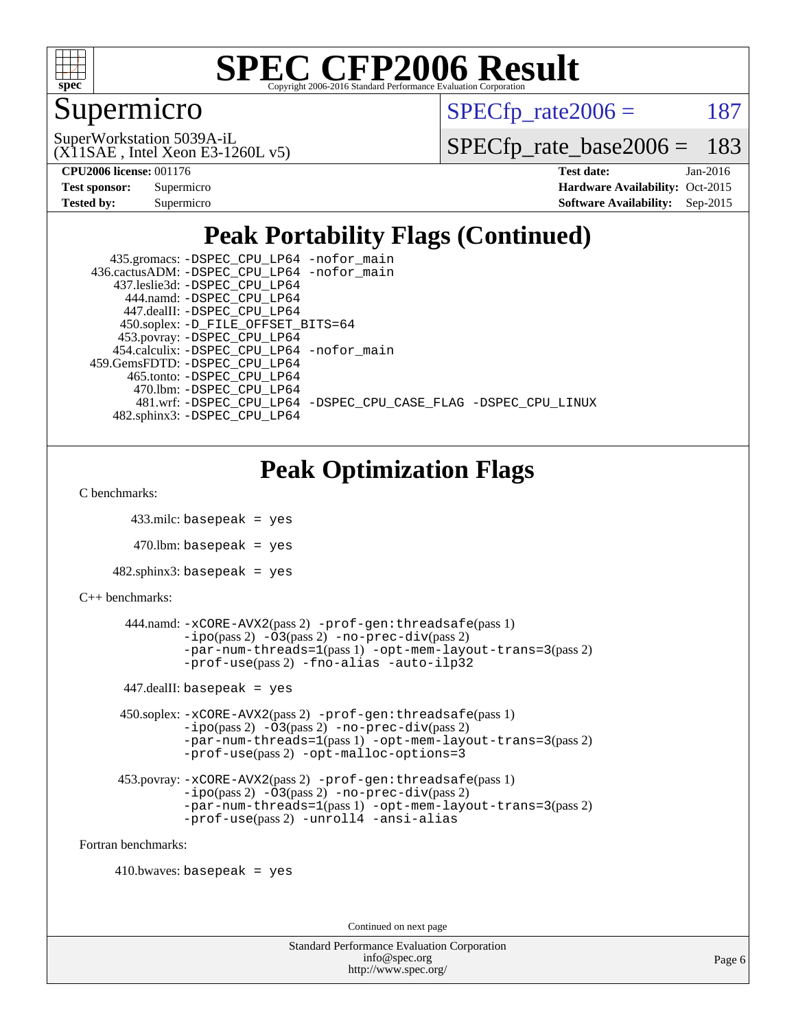

### Supermicro

 $SPECTp\_rate2006 = 187$ 

(X11SAE , Intel Xeon E3-1260L v5) SuperWorkstation 5039A-iL

[SPECfp\\_rate\\_base2006 =](http://www.spec.org/auto/cpu2006/Docs/result-fields.html#SPECfpratebase2006) 183

| <b>Test sponsor:</b> | Supermicro |
|----------------------|------------|
| <b>Tested by:</b>    | Supermicro |

**[CPU2006 license:](http://www.spec.org/auto/cpu2006/Docs/result-fields.html#CPU2006license)** 001176 **[Test date:](http://www.spec.org/auto/cpu2006/Docs/result-fields.html#Testdate)** Jan-2016 **[Hardware Availability:](http://www.spec.org/auto/cpu2006/Docs/result-fields.html#HardwareAvailability)** Oct-2015 **[Software Availability:](http://www.spec.org/auto/cpu2006/Docs/result-fields.html#SoftwareAvailability)** Sep-2015

### **[Peak Portability Flags \(Continued\)](http://www.spec.org/auto/cpu2006/Docs/result-fields.html#PeakPortabilityFlags)**

| 435.gromacs: -DSPEC_CPU_LP64 -nofor_main                       |
|----------------------------------------------------------------|
| 436.cactusADM: -DSPEC CPU LP64 -nofor main                     |
| 437.leslie3d: -DSPEC CPU LP64                                  |
| 444.namd: -DSPEC CPU LP64                                      |
| 447.dealII: -DSPEC CPU LP64                                    |
| 450.soplex: -D_FILE_OFFSET_BITS=64                             |
| 453.povray: -DSPEC_CPU_LP64                                    |
| 454.calculix: -DSPEC CPU LP64 -nofor main                      |
| 459.GemsFDTD: - DSPEC_CPU_LP64                                 |
| 465.tonto: -DSPEC CPU LP64                                     |
| 470.1bm: - DSPEC CPU LP64                                      |
| 481.wrf: -DSPEC CPU_LP64 -DSPEC_CPU_CASE_FLAG -DSPEC_CPU_LINUX |
| 482.sphinx3: -DSPEC CPU LP64                                   |

### **[Peak Optimization Flags](http://www.spec.org/auto/cpu2006/Docs/result-fields.html#PeakOptimizationFlags)**

[C benchmarks](http://www.spec.org/auto/cpu2006/Docs/result-fields.html#Cbenchmarks):

```
 433.milc: basepeak = yes
```
 $470.$ lbm: basepeak = yes

```
482.sphinx3: basepeak = yes
```

```
C++ benchmarks:
```

```
 444.namd: -xCORE-AVX2(pass 2) -prof-gen:threadsafe(pass 1)
        -no-prec-div(pass 2)-par-num-threads=1(pass 1) -opt-mem-layout-trans=3(pass 2)
        -prof-use(pass 2) -fno-alias -auto-ilp32
447.dealII: basepeak = yes
 450.soplex: -xCORE-AVX2(pass 2) -prof-gen:threadsafe(pass 1)
         -ipo(pass 2) -O3(pass 2) -no-prec-div(pass 2)
         -par-num-threads=1(pass 1) -opt-mem-layout-trans=3(pass 2)
         -prof-use(pass 2) -opt-malloc-options=3
 453.povray: -xCORE-AVX2(pass 2) -prof-gen:threadsafe(pass 1)
         -no-prec-div(pass 2)-par-num-threads=1(pass 1) -opt-mem-layout-trans=3(pass 2)
         -prof-use(pass 2) -unroll4 -ansi-alias
```
[Fortran benchmarks](http://www.spec.org/auto/cpu2006/Docs/result-fields.html#Fortranbenchmarks):

 $410.bwaves: basepeak = yes$ 

Continued on next page